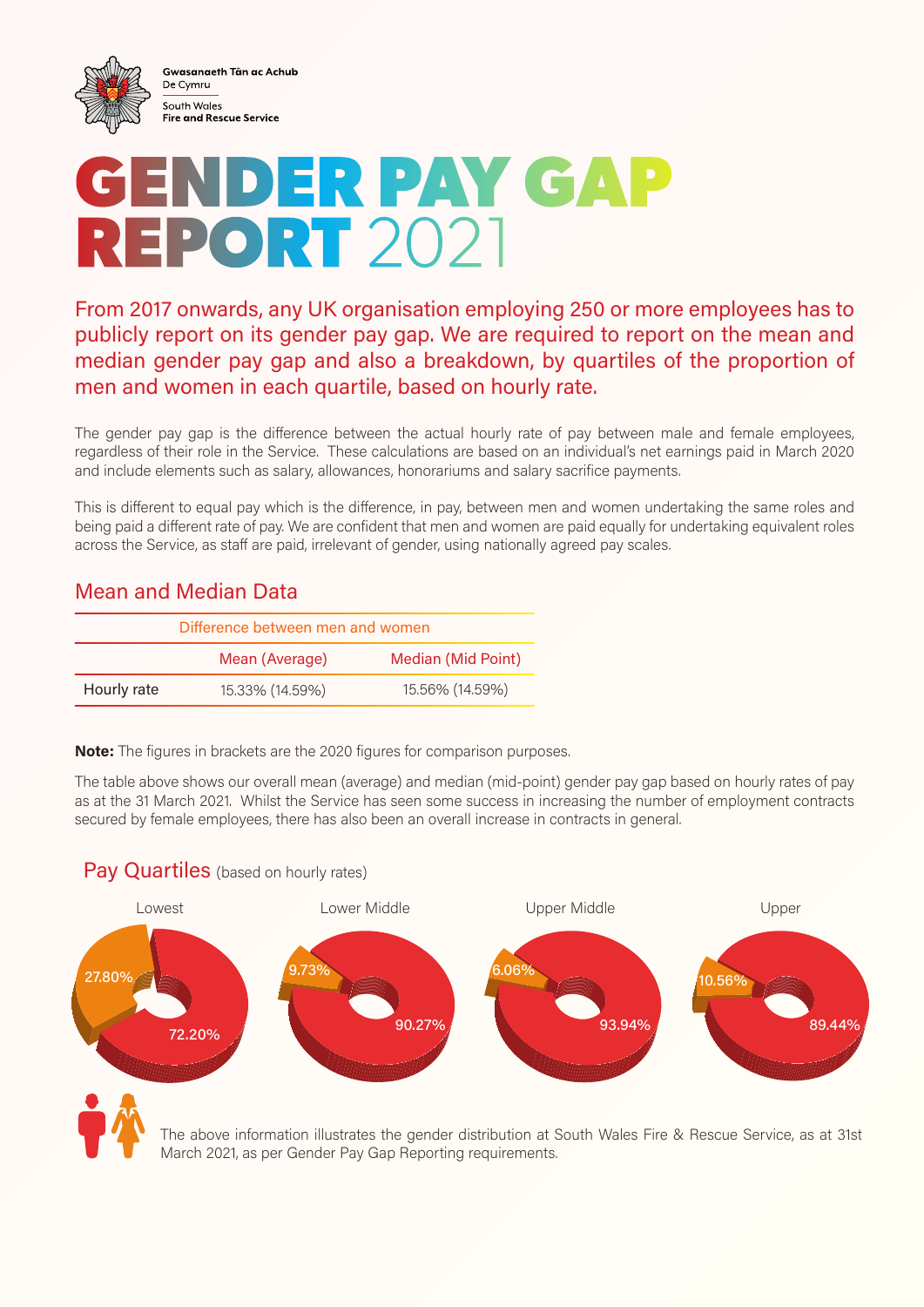**Gwasanaeth Tân ac Achub** De Cymru South Wales **Fire and Rescue Service** 

## **NDER PAY GAP REPORT** 2021

From 2017 onwards, any UK organisation employing 250 or more employees has to publicly report on its gender pay gap. We are required to report on the mean and median gender pay gap and also a breakdown, by quartiles of the proportion of men and women in each quartile, based on hourly rate.

The gender pay gap is the difference between the actual hourly rate of pay between male and female employees, regardless of their role in the Service. These calculations are based on an individual's net earnings paid in March 2020 and include elements such as salary, allowances, honorariums and salary sacrifice payments.

This is different to equal pay which is the difference, in pay, between men and women undertaking the same roles and being paid a different rate of pay. We are confident that men and women are paid equally for undertaking equivalent roles across the Service, as staff are paid, irrelevant of gender, using nationally agreed pay scales.

## Mean and Median Data

| Difference between men and women |                 |                           |
|----------------------------------|-----------------|---------------------------|
|                                  | Mean (Average)  | <b>Median (Mid Point)</b> |
| Hourly rate                      | 15.33% (14.59%) | 15.56% (14.59%)           |

**Note:** The figures in brackets are the 2020 figures for comparison purposes.

The table above shows our overall mean (average) and median (mid-point) gender pay gap based on hourly rates of pay as at the 31 March 2021. Whilst the Service has seen some success in increasing the number of employment contracts secured by female employees, there has also been an overall increase in contracts in general.





The above information illustrates the gender distribution at South Wales Fire & Rescue Service, as at 31st March 2021, as per Gender Pay Gap Reporting requirements.